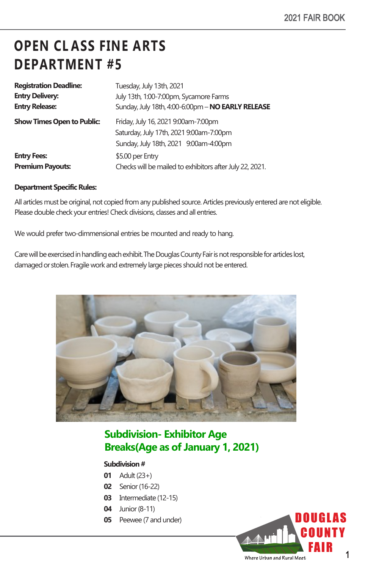# **OPEN CL ASS FINE ARTS DEPARTMENT #5**

| <b>Registration Deadline:</b>     | Tuesday, July 13th, 2021                                 |
|-----------------------------------|----------------------------------------------------------|
| <b>Entry Delivery:</b>            | July 13th, 1:00-7:00pm, Sycamore Farms                   |
| <b>Entry Release:</b>             | Sunday, July 18th, 4:00-6:00pm - NO EARLY RELEASE        |
| <b>Show Times Open to Public:</b> | Friday, July 16, 2021 9:00am-7:00pm                      |
|                                   | Saturday, July 17th, 2021 9:00am-7:00pm                  |
|                                   | Sunday, July 18th, 2021 9:00am-4:00pm                    |
| <b>Entry Fees:</b>                | \$5.00 per Entry                                         |
| <b>Premium Payouts:</b>           | Checks will be mailed to exhibitors after July 22, 2021. |

#### **Department Specific Rules:**

All articles must be original, not copied from any published source. Articles previously entered are not eligible. Please double check your entries! Check divisions, classes and all entries.

We would prefer two-dimmensional entries be mounted and ready to hang.

Care will be exercised in handling each exhibit. The Douglas County Fair is not responsible for articles lost, damaged or stolen.Fragile work and extremely large pieces should not be entered.



### **Subdivision- Exhibitor Age Breaks(Age as of January 1, 2021)**

#### **Subdivision#**

- **01** Adult(23+)
- **02** Senior(16-22)
- **03** Intermediate (12-15)
- **04** Junior (8-11)
- **05** Peewee (7 and under)